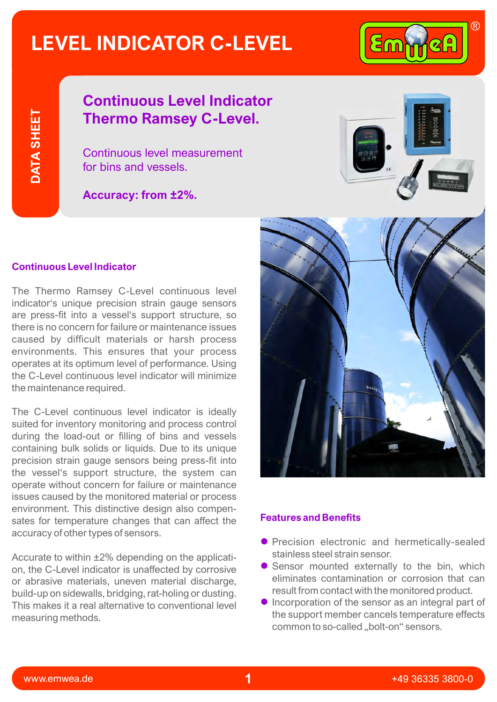## **LEVEL INDICATOR C-LEVEL**



**DATA SHEET**DATA SHEET

## **Continuous Level Indicator Thermo Ramsey C-Level.**

Continuous level measurement for bins and vessels.

**Accuracy: from ±2%.**



## **Continuous Level Indicator**

The Thermo Ramsey C-Level continuous level indicator's unique precision strain gauge sensors are press-fit into a vessel's support structure, so there is no concern for failure or maintenance issues caused by difficult materials or harsh process environments. This ensures that your process operates at its optimum level of performance. Using the C-Level continuous level indicator will minimize the maintenance required.

The C-Level continuous level indicator is ideally suited for inventory monitoring and process control during the load-out or filling of bins and vessels containing bulk solids or liquids. Due to its unique precision strain gauge sensors being press-fit into the vessel's support structure, the system can operate without concern for failure or maintenance issues caused by the monitored material or process environment. This distinctive design also compensates for temperature changes that can affect the accuracy of other types of sensors.

Accurate to within ±2% depending on the application, the C-Level indicator is unaffected by corrosive or abrasive materials, uneven material discharge, build-up on sidewalls, bridging, rat-holing or dusting. This makes it a real alternative to conventional level measuring methods.



### **Features and Benefits**

- **•** Precision electronic and hermetically-sealed stainless steel strain sensor.
- **•** Sensor mounted externally to the bin, which eliminates contamination or corrosion that can result from contact with the monitored product.
- $\bullet$  Incorporation of the sensor as an integral part of the support member cancels temperature effects common to so-called "bolt-on" sensors.